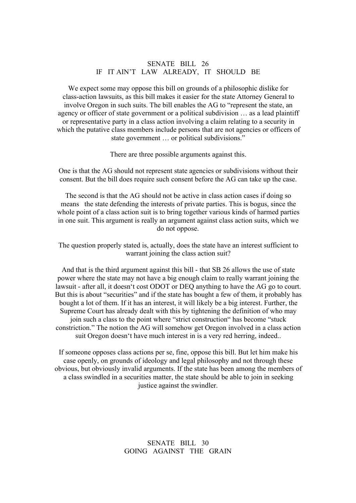# SENATE BILL 26 IF IT AIN'T LAW ALREADY, IT SHOULD BE

We expect some may oppose this bill on grounds of a philosophic dislike for class-action lawsuits, as this bill makes it easier for the state Attorney General to involve Oregon in such suits. The bill enables the AG to "represent the state, an agency or officer of state government or a political subdivision … as a lead plaintiff or representative party in a class action involving a claim relating to a security in which the putative class members include persons that are not agencies or officers of state government ... or political subdivisions."<br>There are three possible arguments against this.

One is that the AG should not represent state agencies or subdivisions without their consent. But the bill does require such consent before the AG can take up the case.

The second is that the AG should not be active in class action cases if doing so means the state defending the interests of private parties. This is bogus, since the whole point of a class action suit is to bring together various kinds of harmed parties in one suit. This argument is really an argument against class action suits, which we do not oppose.

The question properly stated is, actually, does the state have an interest sufficient to warrant joining the class action suit?

And that is the third argument against this bill - that SB 26 allows the use of state power where the state may not have a big enough claim to really warrant joining the lawsuit - after all, it doesn't cost ODOT or DEQ anything to have the AG go to court. But this is about "securities" and if the state has bought a few of them, it probably has bought a lot of them. If it has an interest, it will likely be a big interest. Further, the Supreme Court has already dealt with this by tightening the definition of who may join such a class to the point where "strict construction" has become "stuck constriction." The notion the AG will somehow get Oregon involved in a class action suit Oregon doesn't have much interest in is a very red herring, indeed..

If someone opposes class actions per se, fine, oppose this bill. But let him make his case openly, on grounds of ideology and legal philosophy and not through these obvious, but obviously invalid arguments. If the state has been among the members of a class swindled in a securities matter, the state should be able to join in seeking justice against the swindler.

### SENATE BILL 30 GOING AGAINST THE GRAIN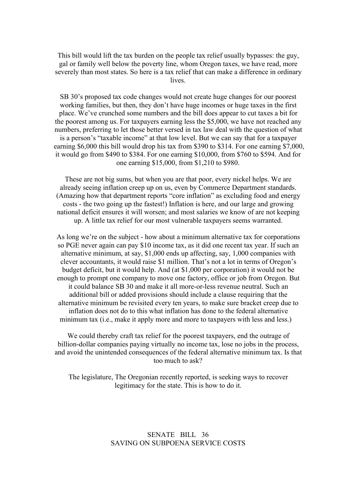This bill would lift the tax burden on the people tax relief usually bypasses: the guy, gal or family well below the poverty line, whom Oregon taxes, we have read, more severely than most states. So here is a tax relief that can make a difference in ordinary lives.

SB 30's proposed tax code changes would not create huge changes for our poorest working families, but then, they don't have huge incomes or huge taxes in the first place. We've crunched some numbers and the bill does appear to cut taxes a bit for the poorest among us. For taxpayers earning less the \$5,000, we have not reached any numbers, preferring to let those better versed in tax law deal with the question of what is a person's "taxable income" at that low level. But we can say that for a taxpayer earning \$6,000 this bill would drop his tax from \$390 to \$314. For one earning \$7,000, it would go from \$490 to \$384. For one earning \$10,000, from \$760 to \$594. And for one earning \$15,000, from \$1,210 to \$980.

These are not big sums, but when you are that poor, every nickel helps. We are already seeing inflation creep up on us, even by Commerce Department standards. (Amazing how that department reports "core inflation" as excluding food and energy costs - the two going up the fastest!) Inflation is here, and our large and growing national deficit ensures it will worsen; and most salaries we know of are not keeping up. A little tax relief for our most vulnerable taxpayers seems warranted.

As long we're on the subject - how about a minimum alternative tax for corporations so PGE never again can pay \$10 income tax, as it did one recent tax year. If such an alternative minimum, at say, \$1,000 endsup affecting, say, 1,000 companies with clever accountants, it would raise \$1 million. That's not a lot in terms of Oregon's budget deficit, but it would help. And (at \$1,000 per corporation) it would not be enough to prompt one company to move one factory, office or job from Oregon. But it could balance SB 30 and make it all more-or-less revenue neutral. Such an additional bill or added provisions should include a clause requiring that the alternative minimum be revisited every ten years, to make sure bracket creep due to inflation does not do to this what inflation has done to the federal alternative minimum tax (i.e., make it apply more and more to taxpayers with less and less.)

We could thereby craft tax relief for the poorest taxpayers, end the outrage of billion-dollar companies paying virtually no income tax, lose no jobs in the process, and avoid the unintended consequences of the federal alternative minimum tax. Is that too much to ask?

The legislature, The Oregonian recently reported, is seeking ways to recover legitimacy for the state. This is how to do it.

### SENATE BILL 36 SAVING ON SUBPOENA SERVICE COSTS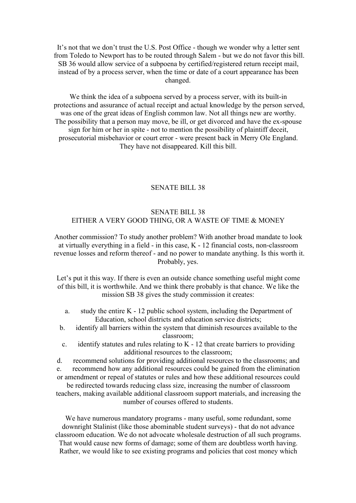It's not that we don't trust the U.S. Post Office - though we wonder why a letter sent from Toledo to Newport has to be routed through Salem - but we do not favor this bill. SB 36 would allow service of a subpoena by certified/registered return receipt mail, instead of by a process server, when the time or date of a court appearance has been changed.

We think the idea of a subpoena served by a process server, with its built-in protections and assurance of actual receipt and actual knowledge by the person served, was one of the great ideas of English common law. Not all things new are worthy. The possibility that a person may move, be ill, or get divorced and have the ex-spouse sign for him or her in spite - not to mention the possibility of plaintiff deceit, prosecutorial misbehavior or court error - were present back in Merry Ole England. They have not disappeared. Kill this bill.

### SENATE BILL 38

# SENATE BILL 38 EITHER A VERY GOOD THING, OR A WASTE OF TIME & MONEY

Another commission? To study another problem? With another broad mandate to look at virtually everything in a field - in this case, K - 12 financial costs, non-classroom revenue losses and reform thereof - and no power to mandate anything. Is this worth it. Probably, yes.

Let's put it this way. If there is even an outside chance something useful might come of this bill, it is worthwhile. And we think there probably is that chance. We like the mission SB 38 gives the study commission it creates:

- a. study the entire K 12 public school system, including the Department of Education, school districts and education service districts;
- b. identify all barriers within the system that diminish resources available to the classroom;
- c. identify statutes and rules relating to K 12 that create barriers to providing additional resources to the classroom;

d. recommend solutions for providing additional resources to the classrooms; and e. recommend how any additional resources could be gained from the elimination or amendment or repeal of statutes orrules and how these additional resources could be redirected towards reducing class size, increasing the number of classroom teachers, making available additional classroom support materials, and increasing the number of courses offered to students.

We have numerous mandatory programs - many useful, some redundant, some downright Stalinist (like those abominable student surveys) - that do not advance classroom education. We do not advocate wholesale destruction of all such programs. That would cause new forms of damage; some of them are doubtless worth having. Rather, we would like to see existing programs and policies that cost money which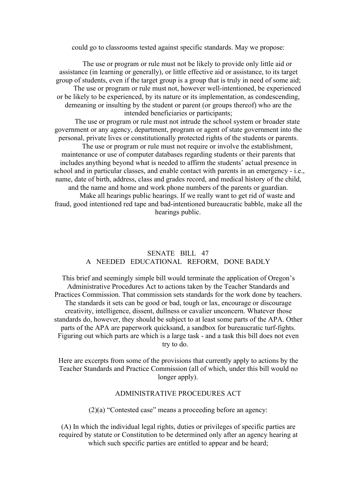could go to classrooms tested against specific standards. May we propose:

The use or program or rule must not be likely to provide only little aid or assistance (in learning or generally), or little effective aid or assistance, to its target group of students, even if the target group is a group that is truly in need of some aid; The use or program or rule must not, however well-intentioned, be experienced or be likely to be experienced, by its nature or its implementation, as condescending, demeaning or insulting by the student or parent (or groups thereof) who are the intended beneficiaries or participants;

The use or program or rule must not intrude the school system or broader state government or any agency, department, program or agent of state government into the personal, private lives or constitutionally protected rights of the students or parents.

The use or program or rule must not require or involve the establishment, maintenance or use of computer databases regarding students ortheir parents that includes anything beyond what is needed to affirm the students' actual presence in school and in particular classes, and enable contact with parents in an emergency - i.e., name, date of birth, address, class and grades record, and medical history of the child, and the name and home and work phone numbers of the parents or guardian.

Make all hearings public hearings. If we really want to get rid of waste and fraud, good intentioned red tape and bad-intentioned bureaucratic babble, make all the hearings public.

## SENATE BILL 47 A NEEDED EDUCATIONAL REFORM, DONE BADLY

This brief and seemingly simple bill would terminate the application of Oregon's Administrative Procedures Act to actions taken by the Teacher Standards and Practices Commission. That commission sets standards for the work done by teachers. The standards it sets can be good or bad, tough or lax, encourage or discourage creativity, intelligence, dissent, dullness or cavalier unconcern. Whatever those standards do, however, they should be subject to at least some parts of the APA. Other parts of the APA are paperwork quicksand, a sandbox for bureaucratic turf-fights. Figuring out which parts are which is a large task - and a task this bill does not even try to do.

Here are excerpts from some of the provisions that currently apply to actions by the Teacher Standards and Practice Commission (all of which, under this bill would no longer apply).

### ADMINISTRATIVE PROCEDURES ACT

(2)(a) "Contested case" means a proceeding before an agency:

(A) In which the individual legal rights, duties or privileges of specific parties are required by statute or Constitution to be determined only after an agency hearing at which such specific parties are entitled to appear and be heard;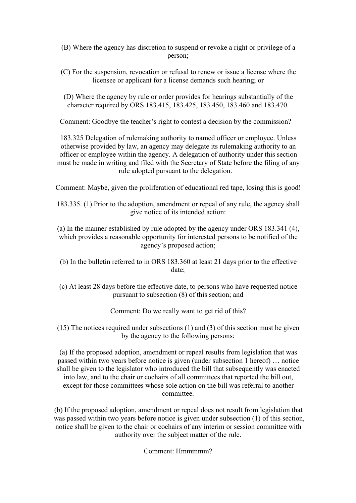(B) Where the agency has discretion to suspend or revoke a right or privilege of a person;

- (C) For the suspension, revocation or refusal to renew or issue a license where the licensee or applicant for a license demands such hearing; or
- (D) Where the agency by rule or order provides for hearings substantially of the character required by ORS 183.415, 183.425, 183.450, 183.460 and 183.470.

Comment: Goodbye the teacher's right to contest a decision by the commission?

183.325 Delegation of rulemaking authority to named officer or employee. Unless otherwise provided by law, an agency may delegate its rulemaking authority to an officer or employee within the agency.A delegation of authority under this section must be made in writing and filed with the Secretary of State before the filing of any rule adopted pursuant to the delegation.

Comment: Maybe, given the proliferation of educational red tape, losing this is good!

183.335. (1) Prior to the adoption, amendment or repeal of any rule, the agency shall give notice of its intended action:

(a) In the manner established by rule adopted by the agency under ORS 183.341 (4), which provides a reasonable opportunity for interested persons to be notified of the agency's proposed action;

- (b) In the bulletin referred to in ORS  $183.360$  at least 21 days prior to the effective date;
- (c) At least 28 days before the effective date, to persons who have requested notice pursuant to subsection (8) of this section; and

Comment: Do we really want to get rid of this?

(15) The notices required under subsections (1) and (3) of this section must be given by the agency to the following persons:

(a) If the proposed adoption, amendment or repeal results from legislation that was passed within two years before notice is given (under subsection 1 hereof)… notice shall be given to the legislator who introduced the bill that subsequently was enacted into law, and to the chair or cochairs of all committees that reported the bill out, except for those committees whose sole action on the bill was referral to another committee.

(b) If the proposed adoption, amendment or repeal does not result from legislation that was passed within two years before notice is given under subsection (1) of this section, notice shall be given to the chair or cochairs of any interim or session committee with authority over the subject matter of the rule.

Comment: Hmmmmm?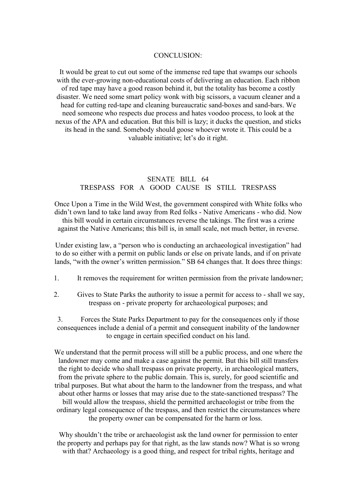#### CONCLUSION:

It would be great to cut out some of the immense red tape that swamps our schools with the ever-growing non-educational costs of delivering an education. Each ribbon of red tape may have a good reason behind it, but the totality has become a costly disaster. We need some smart policy wonk with big scissors, a vacuum cleaner and a head for cutting red-tape and cleaning bureaucratic sand-boxes and sand-bars. We need someone who respects due process and hates voodoo process, to look at the nexus of the APA and education. But this bill is lazy; it ducks the question, and sticks its head in the sand. Somebody should goose whoever wrote it. This could be a valuable initiative; let's do it right.

## SENATE BILL 64 TRESPASS FOR A GOOD CAUSE IS STILL TRESPASS

Once Upon a Time in the Wild West, the government conspired with White folks who didn't own land to take land away from Red folks - Native Americans - who did. Now this bill would in certain circumstances reverse the takings. The first was a crime against the Native Americans; this bill is, in small scale, not much better, in reverse.

Under existing law, a "person who is conducting an archaeological investigation" had to do so either with a permit on public lands orelse on private lands, and if on private lands, "with the owner's written permission." SB 64 changes that. It does three things:

- 1. It removes the requirement for written permission from the private landowner;
- 2. Gives to State Parks the authority to issue a permit for access to shall we say, trespass on - private property for archaeological purposes; and

3. Forces the State Parks Department to pay forthe consequences only if those consequences include a denial of a permit and consequent inability of the landowner to engage in certain specified conduct on his land.

We understand that the permit process will still be a public process, and one where the landowner may come and make a case against the permit. But this bill still transfers the right to decide who shall trespass on private property, in archaeological matters, from the private sphere to the public domain. This is, surely, for good scientific and tribal purposes. But what about the harm to the landowner from the trespass, and what about other harms or losses that may arise due to the state-sanctioned trespass? The bill would allow the trespass, shield the permitted archaeologist or tribe from the ordinary legal consequence of the trespass, and then restrict the circumstances where the property owner can be compensated for the harm or loss.

Why shouldn't the tribe or archaeologist ask the land owner for permission to enter the property and perhaps pay for that right, as the law stands now? What is so wrong with that? Archaeology is a good thing, and respect for tribal rights, heritage and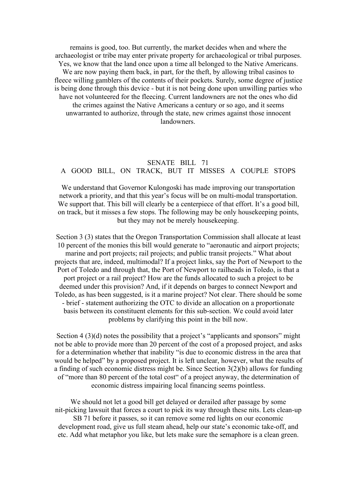remains is good, too. But currently, the market decides when and where the archaeologist or tribe may enter private property for archaeological or tribal purposes. Yes, we know that the land once upon a time all belonged to the Native Americans. We are now paying them back, in part, for the theft, by allowing tribal casinos to fleece willing gamblers of the contents of their pockets. Surely, some degree of justice is being done through this device - but it is not being done upon unwilling parties who have not volunteered for the fleecing. Current landowners are not the ones who did the crimes against the Native Americans a century or so ago, and it seems unwarranted to authorize, through the state, new crimes against those innocent landowners.

# SENATE BILL 71 A GOOD BILL, ON TRACK, BUT IT MISSES A COUPLE STOPS

We understand that Governor Kulongoski has made improving our transportation network a priority, and that this year's focus will be on multi-modal transportation. We support that. This bill will clearly be a centerpiece of that effort. It's a good bill, on track, but it misses a few stops. The following may be only housekeeping points, but they may not be merely housekeeping.

Section 3 (3) states that the Oregon Transportation Commission shall allocate at least 10 percent of the monies this bill would generate to "aeronautic and airport projects; marine and port projects; rail projects; and public transit projects." What about projects that are, indeed, multimodal? If a project links, say the Port of Newport to the Port of Toledo and through that, the Port of Newport to railheads in Toledo, is that a port project or a rail project? How are the funds allocated to such a project to be deemed under this provision? And, if it depends on barges to connect Newport and Toledo, as has been suggested, is it a marine project? Not clear. There should be some - brief - statement authorizing the OTC to divide an allocation on a proportionate basis between its constituent elements for this sub-section. We could avoid later problems by clarifying this point in the bill now.

Section 4 (3)(d) notes the possibility that a project's "applicants and sponsors" might not be able to provide more than 20 percent of the cost of a proposed project, and asks for a determination whether that inability "is due to economic distress in the area that would be helped" by a proposed project. It is left unclear, however, what the results of a finding of such economic distress might be. Since Section 3(2)(b) allows for funding of "more than 80 percent of the total cost" of a project anyway, the determination of economic distress impairing local financing seems pointless.

We should not let a good bill get delayed or derailed after passage by some nit-picking lawsuit that forces a court to pick its way through these nits. Lets clean-up SB 71 before it passes, so it can remove some red lights on our economic development road, give us full steam ahead, help our state's economic take-off, and etc. Add what metaphor you like, but lets make sure the semaphore is a clean green.